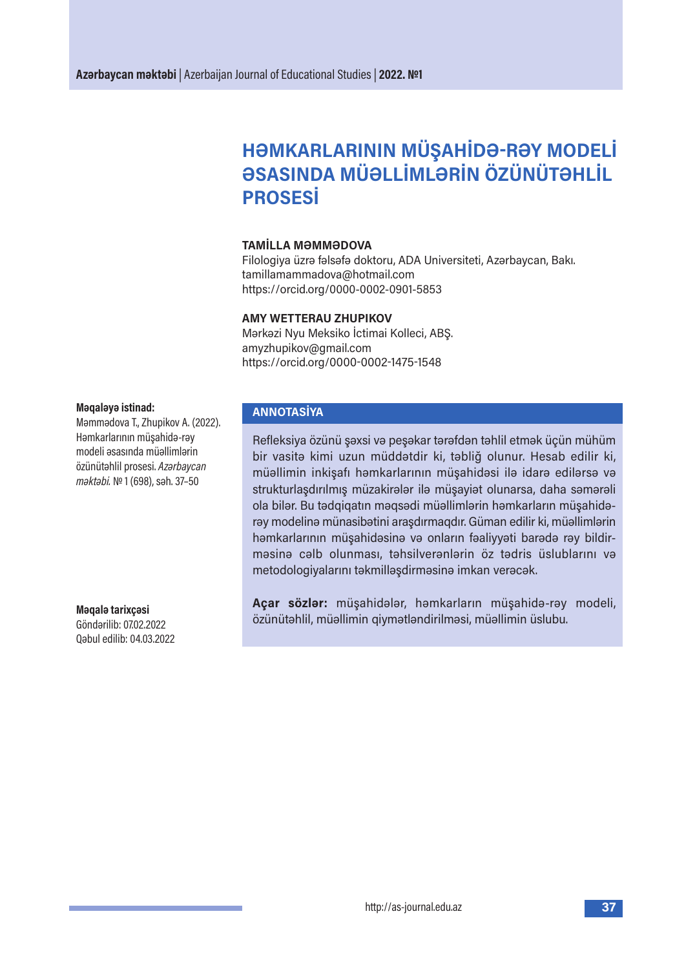# **HƏMKARLARININ MÜŞAHİDƏ-RƏY MODELİ ƏSASINDA MÜƏLLİMLƏRİN ÖZÜNÜTƏHLİL PROSESİ**

### **TAMİLLA MƏMMƏDOVA**

Filologiya üzrə fəlsəfə doktoru, ADA Universiteti, Azərbaycan, Bakı. tamillamammadova@hotmail.com https://orcid.org/0000-0002-0901-5853

#### **AMY WETTERAU ZHUPIKOV**

Mərkəzi Nyu Meksiko İctimai Kolleci, ABŞ. amyzhupikov@gmail.com https://orcid.org/0000-0002-1475-1548

#### **Məqaləyə istinad:**

Məmmədova T., Zhupikov A. (2022). Həmkarlarının müşahidə-rəy modeli əsasında müəllimlərin özünütəhlil prosesi. *Azərbaycan məktəbi.* № 1 (698), səh. 37–50

**Məqalə tarixçəsi** Göndərilib: 07.02.2022 Qəbul edilib: 04.03.2022

# **ANNOTASİYA**

Refleksiya özünü şəxsi və peşəkar tərəfdən təhlil etmək üçün mühüm bir vasitə kimi uzun müddətdir ki, təbliğ olunur. Hesab edilir ki, müəllimin inkişafı həmkarlarının müşahidəsi ilə idarə edilərsə və strukturlaşdırılmış müzakirələr ilə müşayiət olunarsa, daha səmərəli ola bilər. Bu tədqiqatın məqsədi müəllimlərin həmkarların müşahidərəy modelinə münasibətini araşdırmaqdır. Güman edilir ki, müəllimlərin həmkarlarının müşahidəsinə və onların fəaliyyəti barədə rəy bildirməsinə cəlb olunması, təhsilverənlərin öz tədris üslublarını və metodologiyalarını təkmilləşdirməsinə imkan verəcək.

**Açar sözlər:** müşahidələr, həmkarların müşahidə-rəy modeli, özünütəhlil, müəllimin qiymətləndirilməsi, müəllimin üslubu.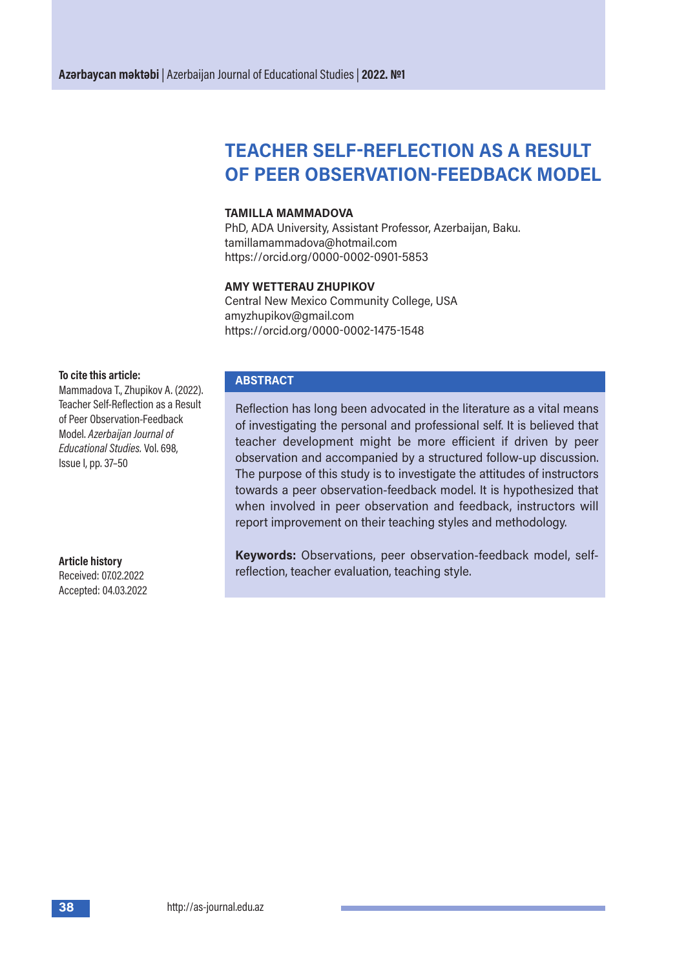# **TEACHER SELF-REFLECTION AS A RESULT OF PEER OBSERVATION-FEEDBACK MODEL**

#### **TAMILLA MAMMADOVA**

PhD, ADA University, Assistant Professor, Azerbaijan, Baku. tamillamammadova@hotmail.com https://orcid.org/0000-0002-0901-5853

#### **AMY WETTERAU ZHUPIKOV**

Central New Mexico Community College, USA amyzhupikov@gmail.com https://orcid.org/0000-0002-1475-1548

#### **To cite this article:**

Mammadova T., Zhupikov A. (2022). Teacher Self-Reflection as a Result of Peer Observation-Feedback Model. *Azerbaijan Journal of Educational Studies.* Vol. 698, Issue I, pp. 37–50

**Article history**  Received: 07.02.2022 Accepted: 04.03.2022

#### **ABSTRACT**

Reflection has long been advocated in the literature as a vital means of investigating the personal and professional self. It is believed that teacher development might be more efficient if driven by peer observation and accompanied by a structured follow-up discussion. The purpose of this study is to investigate the attitudes of instructors towards a peer observation-feedback model. It is hypothesized that when involved in peer observation and feedback, instructors will report improvement on their teaching styles and methodology.

**Keywords:** Observations, peer observation-feedback model, selfreflection, teacher evaluation, teaching style.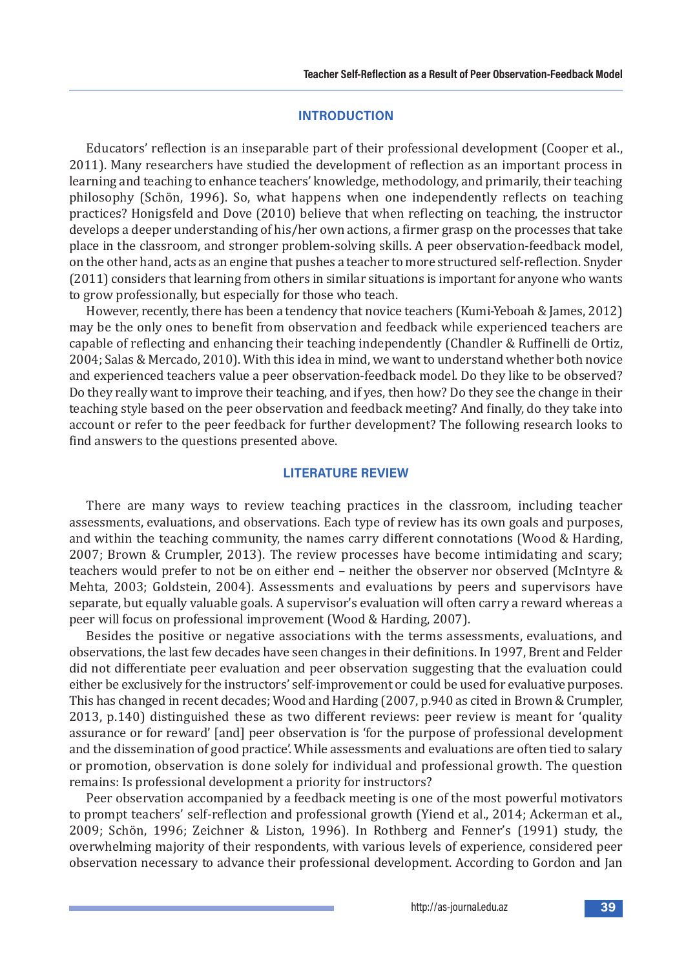# **INTRODUCTION**

Educators' reflection is an inseparable part of their professional development (Cooper et al., 2011). Many researchers have studied the development of reflection as an important process in learning and teaching to enhance teachers' knowledge, methodology, and primarily, their teaching philosophy (Schön, 1996). So, what happens when one independently reflects on teaching practices? Honigsfeld and Dove (2010) believe that when reflecting on teaching, the instructor develops a deeper understanding of his/her own actions, a firmer grasp on the processes that take place in the classroom, and stronger problem-solving skills. A peer observation-feedback model, on the other hand, acts as an engine that pushes a teacher to more structured self-reflection. Snyder (2011) considers that learning from others in similar situations is important for anyone who wants to grow professionally, but especially for those who teach.

However, recently, there has been a tendency that novice teachers (Kumi-Yeboah & James, 2012) may be the only ones to benefit from observation and feedback while experienced teachers are capable of reflecting and enhancing their teaching independently (Chandler & Ruffinelli de Ortiz, 2004; Salas & Mercado, 2010). With this idea in mind, we want to understand whether both novice and experienced teachers value a peer observation-feedback model. Do they like to be observed? Do they really want to improve their teaching, and if yes, then how? Do they see the change in their teaching style based on the peer observation and feedback meeting? And finally, do they take into account or refer to the peer feedback for further development? The following research looks to find answers to the questions presented above.

# **LITERATURE REVIEW**

There are many ways to review teaching practices in the classroom, including teacher assessments, evaluations, and observations. Each type of review has its own goals and purposes, and within the teaching community, the names carry different connotations (Wood & Harding, 2007; Brown & Crumpler, 2013). The review processes have become intimidating and scary; teachers would prefer to not be on either end – neither the observer nor observed (McIntyre & Mehta, 2003; Goldstein, 2004). Assessments and evaluations by peers and supervisors have separate, but equally valuable goals. A supervisor's evaluation will often carry a reward whereas a peer will focus on professional improvement (Wood & Harding, 2007).

Besides the positive or negative associations with the terms assessments, evaluations, and observations, the last few decades have seen changes in their definitions. In 1997, Brent and Felder did not differentiate peer evaluation and peer observation suggesting that the evaluation could either be exclusively for the instructors' self-improvement or could be used for evaluative purposes. This has changed in recent decades; Wood and Harding (2007, p.940 as cited in Brown & Crumpler, 2013, p.140) distinguished these as two different reviews: peer review is meant for 'quality assurance or for reward' [and] peer observation is 'for the purpose of professional development and the dissemination of good practice'. While assessments and evaluations are often tied to salary or promotion, observation is done solely for individual and professional growth. The question remains: Is professional development a priority for instructors?

Peer observation accompanied by a feedback meeting is one of the most powerful motivators to prompt teachers' self-reflection and professional growth (Yiend et al., 2014; Ackerman et al., 2009; Schön, 1996; Zeichner & Liston, 1996). In Rothberg and Fenner's (1991) study, the overwhelming majority of their respondents, with various levels of experience, considered peer observation necessary to advance their professional development. According to Gordon and Jan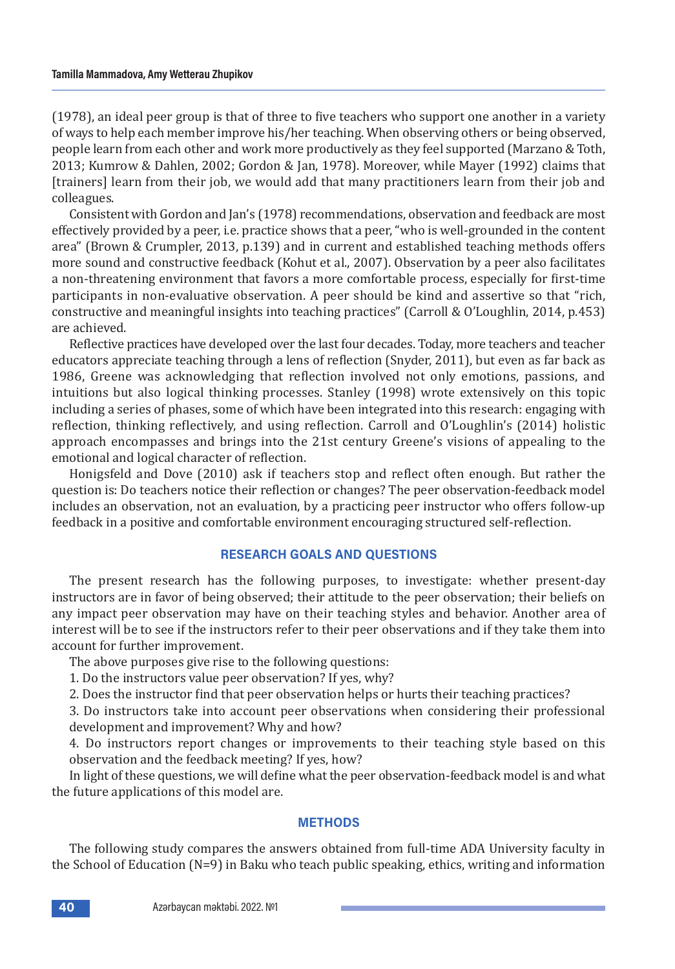(1978), an ideal peer group is that of three to five teachers who support one another in a variety of ways to help each member improve his/her teaching. When observing others or being observed, people learn from each other and work more productively as they feel supported (Marzano & Toth, 2013; Kumrow & Dahlen, 2002; Gordon & Jan, 1978). Moreover, while Mayer (1992) claims that [trainers] learn from their job, we would add that many practitioners learn from their job and colleagues.

Consistent with Gordon and Jan's (1978) recommendations, observation and feedback are most effectively provided by a peer, i.e. practice shows that a peer, "who is well-grounded in the content area" (Brown & Crumpler, 2013, p.139) and in current and established teaching methods offers more sound and constructive feedback (Kohut et al., 2007). Observation by a peer also facilitates a non-threatening environment that favors a more comfortable process, especially for first-time participants in non-evaluative observation. A peer should be kind and assertive so that "rich, constructive and meaningful insights into teaching practices" (Carroll & O'Loughlin, 2014, p.453) are achieved.

Reflective practices have developed over the last four decades. Today, more teachers and teacher educators appreciate teaching through a lens of reflection (Snyder, 2011), but even as far back as 1986, Greene was acknowledging that reflection involved not only emotions, passions, and intuitions but also logical thinking processes. Stanley (1998) wrote extensively on this topic including a series of phases, some of which have been integrated into this research: engaging with reflection, thinking reflectively, and using reflection. Carroll and O'Loughlin's (2014) holistic approach encompasses and brings into the 21st century Greene's visions of appealing to the emotional and logical character of reflection.

Honigsfeld and Dove (2010) ask if teachers stop and reflect often enough. But rather the question is: Do teachers notice their reflection or changes? The peer observation-feedback model includes an observation, not an evaluation, by a practicing peer instructor who offers follow-up feedback in a positive and comfortable environment encouraging structured self-reflection.

#### **RESEARCH GOALS AND QUESTIONS**

The present research has the following purposes, to investigate: whether present-day instructors are in favor of being observed; their attitude to the peer observation; their beliefs on any impact peer observation may have on their teaching styles and behavior. Another area of interest will be to see if the instructors refer to their peer observations and if they take them into account for further improvement.

The above purposes give rise to the following questions:

1. Do the instructors value peer observation? If yes, why?

2. Does the instructor find that peer observation helps or hurts their teaching practices?

3. Do instructors take into account peer observations when considering their professional development and improvement? Why and how?

4. Do instructors report changes or improvements to their teaching style based on this observation and the feedback meeting? If yes, how?

In light of these questions, we will define what the peer observation-feedback model is and what the future applications of this model are.

#### **METHODS**

The following study compares the answers obtained from full-time ADA University faculty in the School of Education (N=9) in Baku who teach public speaking, ethics, writing and information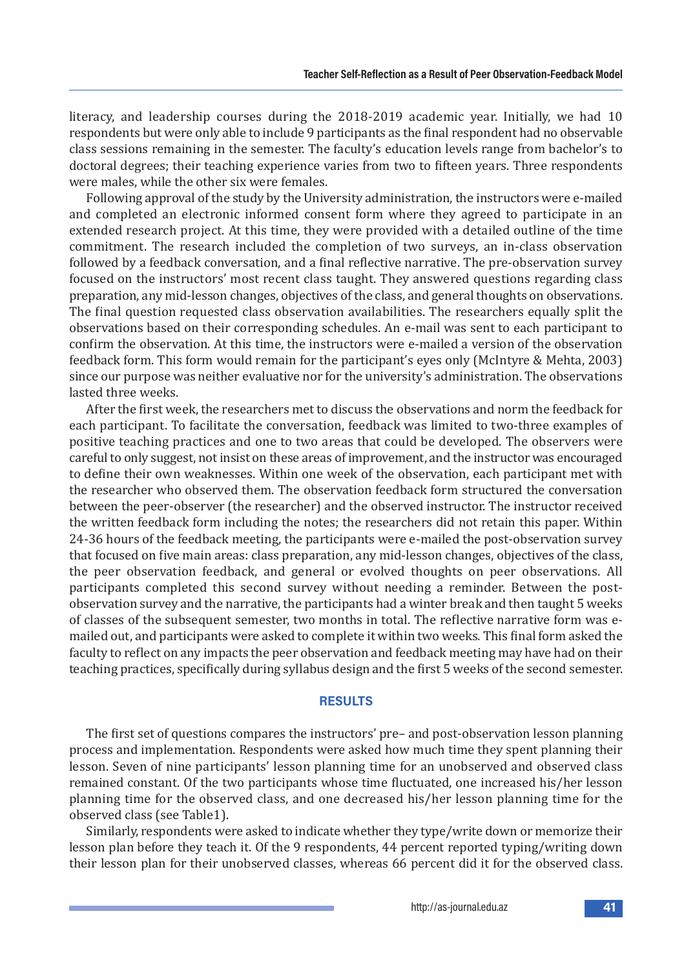literacy, and leadership courses during the 2018-2019 academic year. Initially, we had 10 respondents but were only able to include 9 participants as the final respondent had no observable class sessions remaining in the semester. The faculty's education levels range from bachelor's to doctoral degrees; their teaching experience varies from two to fifteen years. Three respondents were males, while the other six were females.

Following approval of the study by the University administration, the instructors were e-mailed and completed an electronic informed consent form where they agreed to participate in an extended research project. At this time, they were provided with a detailed outline of the time commitment. The research included the completion of two surveys, an in-class observation followed by a feedback conversation, and a final reflective narrative. The pre-observation survey focused on the instructors' most recent class taught. They answered questions regarding class preparation, any mid-lesson changes, objectives of the class, and general thoughts on observations. The final question requested class observation availabilities. The researchers equally split the observations based on their corresponding schedules. An e-mail was sent to each participant to confirm the observation. At this time, the instructors were e-mailed a version of the observation feedback form. This form would remain for the participant's eyes only (McIntyre & Mehta, 2003) since our purpose was neither evaluative nor for the university's administration. The observations lasted three weeks.

After the first week, the researchers met to discuss the observations and norm the feedback for each participant. To facilitate the conversation, feedback was limited to two-three examples of positive teaching practices and one to two areas that could be developed. The observers were careful to only suggest, not insist on these areas of improvement, and the instructor was encouraged to define their own weaknesses. Within one week of the observation, each participant met with the researcher who observed them. The observation feedback form structured the conversation between the peer-observer (the researcher) and the observed instructor. The instructor received the written feedback form including the notes; the researchers did not retain this paper. Within 24-36 hours of the feedback meeting, the participants were e-mailed the post-observation survey that focused on five main areas: class preparation, any mid-lesson changes, objectives of the class, the peer observation feedback, and general or evolved thoughts on peer observations. All participants completed this second survey without needing a reminder. Between the postobservation survey and the narrative, the participants had a winter break and then taught 5 weeks of classes of the subsequent semester, two months in total. The reflective narrative form was emailed out, and participants were asked to complete it within two weeks. This final form asked the faculty to reflect on any impacts the peer observation and feedback meeting may have had on their teaching practices, specifically during syllabus design and the first 5 weeks of the second semester.

# **RESULTS**

The first set of questions compares the instructors' pre– and post-observation lesson planning process and implementation. Respondents were asked how much time they spent planning their lesson. Seven of nine participants' lesson planning time for an unobserved and observed class remained constant. Of the two participants whose time fluctuated, one increased his/her lesson planning time for the observed class, and one decreased his/her lesson planning time for the observed class (see Table1).

Similarly, respondents were asked to indicate whether they type/write down or memorize their lesson plan before they teach it. Of the 9 respondents, 44 percent reported typing/writing down their lesson plan for their unobserved classes, whereas 66 percent did it for the observed class.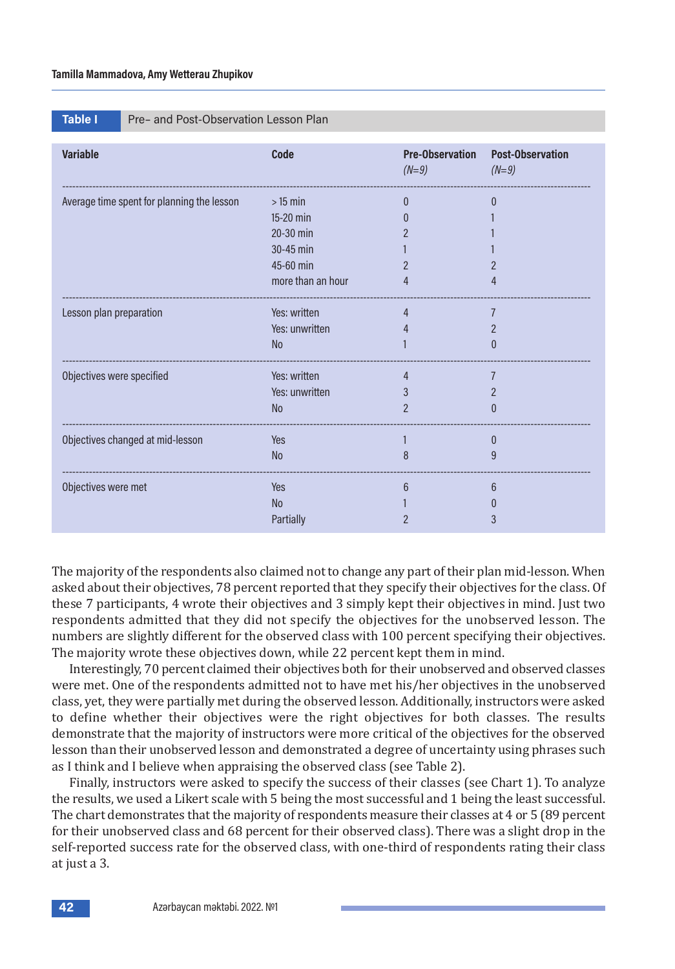|  | Table I |  |
|--|---------|--|
|  |         |  |

**Pre– and Post-Observation Lesson Plan** 

| <b>Variable</b>                            | <b>Code</b>       | <b>Pre-Observation</b><br>$(N=9)$ | <b>Post-Observation</b><br>$(N=9)$ |
|--------------------------------------------|-------------------|-----------------------------------|------------------------------------|
| Average time spent for planning the lesson | $>15$ min         | $\Omega$                          | 0                                  |
|                                            | 15-20 min         |                                   |                                    |
|                                            | 20-30 min         |                                   |                                    |
|                                            | 30-45 min         |                                   |                                    |
|                                            | 45-60 min         |                                   |                                    |
|                                            | more than an hour | 4                                 | 4                                  |
| Lesson plan preparation                    | Yes: written      | 4                                 | $\overline{7}$                     |
|                                            | Yes: unwritten    |                                   | $\mathcal P$                       |
|                                            | <b>No</b>         |                                   | $\left( \right)$                   |
| Objectives were specified                  | Yes: written      | 4                                 | $\overline{7}$                     |
|                                            | Yes: unwritten    | 3                                 |                                    |
|                                            | $\rm No$          | $\overline{2}$                    | 0                                  |
| Objectives changed at mid-lesson           | Yes               |                                   | 0                                  |
|                                            | <b>No</b>         | 8                                 | 9                                  |
| Objectives were met                        | Yes               | 6                                 | 6                                  |
|                                            | <b>No</b>         |                                   |                                    |
|                                            | Partially         |                                   | 3                                  |

The majority of the respondents also claimed not to change any part of their plan mid-lesson. When asked about their objectives, 78 percent reported that they specify their objectives for the class. Of these 7 participants, 4 wrote their objectives and 3 simply kept their objectives in mind. Just two respondents admitted that they did not specify the objectives for the unobserved lesson. The numbers are slightly different for the observed class with 100 percent specifying their objectives. The majority wrote these objectives down, while 22 percent kept them in mind.

Interestingly, 70 percent claimed their objectives both for their unobserved and observed classes were met. One of the respondents admitted not to have met his/her objectives in the unobserved class, yet, they were partially met during the observed lesson. Additionally, instructors were asked to define whether their objectives were the right objectives for both classes. The results demonstrate that the majority of instructors were more critical of the objectives for the observed lesson than their unobserved lesson and demonstrated a degree of uncertainty using phrases such as I think and I believe when appraising the observed class (see Table 2).

Finally, instructors were asked to specify the success of their classes (see Chart 1). To analyze the results, we used a Likert scale with 5 being the most successful and 1 being the least successful. The chart demonstrates that the majority of respondents measure their classes at 4 or 5 (89 percent for their unobserved class and 68 percent for their observed class). There was a slight drop in the self-reported success rate for the observed class, with one-third of respondents rating their class at just a 3.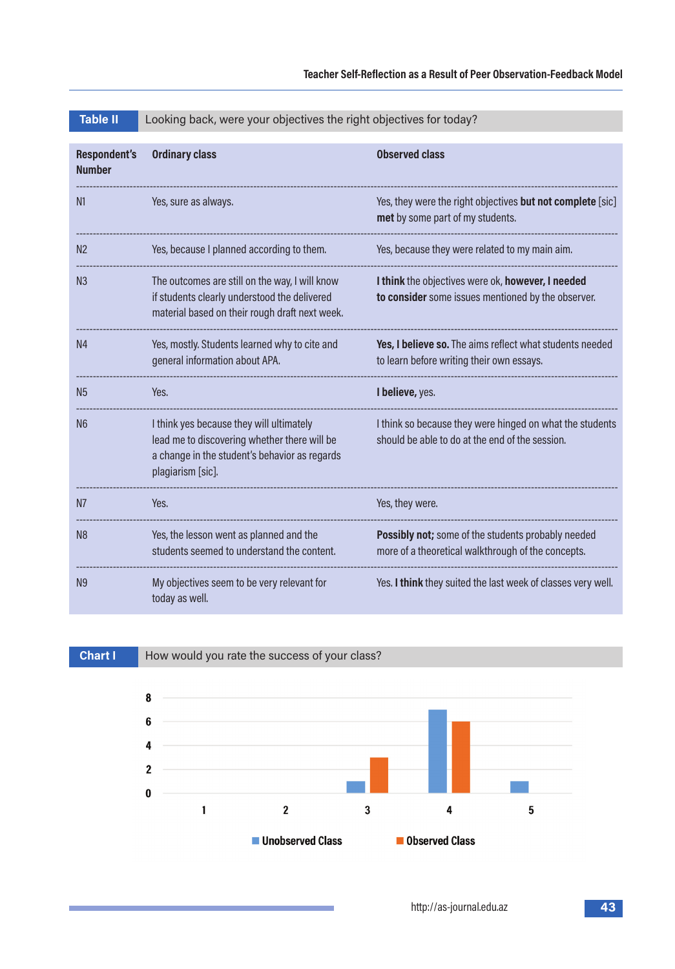| <b>Respondent's</b><br><b>Number</b> | <b>Ordinary class</b>                                                                                                                                          | <b>Observed class</b>                                                                                       |
|--------------------------------------|----------------------------------------------------------------------------------------------------------------------------------------------------------------|-------------------------------------------------------------------------------------------------------------|
| N <sub>1</sub>                       | Yes, sure as always.                                                                                                                                           | Yes, they were the right objectives but not complete [sic]<br>met by some part of my students.              |
| N <sub>2</sub>                       | Yes, because I planned according to them.                                                                                                                      | Yes, because they were related to my main aim.                                                              |
| N <sub>3</sub>                       | The outcomes are still on the way, I will know<br>if students clearly understood the delivered<br>material based on their rough draft next week.               | I think the objectives were ok, however, I needed<br>to consider some issues mentioned by the observer.     |
| N <sub>4</sub>                       | Yes, mostly. Students learned why to cite and<br>general information about APA.                                                                                | Yes, I believe so. The aims reflect what students needed<br>to learn before writing their own essays.       |
| <b>N5</b>                            | Yes.                                                                                                                                                           | I believe, yes.                                                                                             |
| N <sub>6</sub>                       | I think yes because they will ultimately<br>lead me to discovering whether there will be<br>a change in the student's behavior as regards<br>plagiarism [sic]. | I think so because they were hinged on what the students<br>should be able to do at the end of the session. |
| N <sub>7</sub>                       | Yes.                                                                                                                                                           | Yes, they were.                                                                                             |
| N <sub>8</sub>                       | Yes, the lesson went as planned and the<br>students seemed to understand the content.                                                                          | Possibly not; some of the students probably needed<br>more of a theoretical walkthrough of the concepts.    |
| N <sub>9</sub>                       | My objectives seem to be very relevant for<br>today as well.                                                                                                   | Yes. I think they suited the last week of classes very well.                                                |



and the control of the control of the control of

| <b>Table II</b> |  | Looking back, were your objectives the right objectives for today? |  |  |
|-----------------|--|--------------------------------------------------------------------|--|--|
|-----------------|--|--------------------------------------------------------------------|--|--|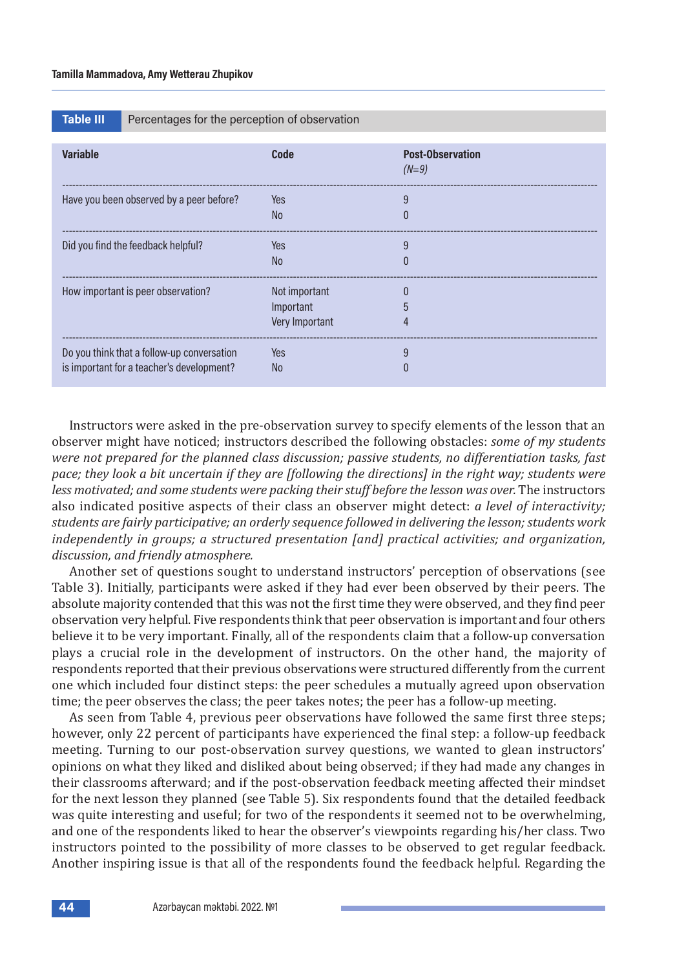| Table III' |  |  |
|------------|--|--|
|            |  |  |
|            |  |  |
|            |  |  |

Percentages for the perception of observation

| <b>Variable</b>                                                                         | Code                                         | <b>Post-Observation</b><br>$(N=9)$ |
|-----------------------------------------------------------------------------------------|----------------------------------------------|------------------------------------|
| Have you been observed by a peer before?                                                | Yes<br>No.                                   | 9<br>$\Omega$                      |
| Did you find the feedback helpful?                                                      | Yes<br>No.                                   | 9<br>$\Omega$                      |
| How important is peer observation?                                                      | Not important<br>Important<br>Very Important | 5<br>4                             |
| Do you think that a follow-up conversation<br>is important for a teacher's development? | Yes<br>N <sub>o</sub>                        | 9<br>0                             |

Instructors were asked in the pre-observation survey to specify elements of the lesson that an observer might have noticed; instructors described the following obstacles: *some of my students were not prepared for the planned class discussion; passive students, no differentiation tasks, fast pace; they look a bit uncertain if they are [following the directions] in the right way; students were less motivated; and some students were packing their stuff before the lesson was over.* The instructors also indicated positive aspects of their class an observer might detect: *a level of interactivity; students are fairly participative; an orderly sequence followed in delivering the lesson; students work independently in groups; a structured presentation [and] practical activities; and organization, discussion, and friendly atmosphere.*

Another set of questions sought to understand instructors' perception of observations (see Table 3). Initially, participants were asked if they had ever been observed by their peers. The absolute majority contended that this was not the first time they were observed, and they find peer observation very helpful. Five respondents think that peer observation is important and four others believe it to be very important. Finally, all of the respondents claim that a follow-up conversation plays a crucial role in the development of instructors. On the other hand, the majority of respondents reported that their previous observations were structured differently from the current one which included four distinct steps: the peer schedules a mutually agreed upon observation time; the peer observes the class; the peer takes notes; the peer has a follow-up meeting.

As seen from Table 4, previous peer observations have followed the same first three steps; however, only 22 percent of participants have experienced the final step: a follow-up feedback meeting. Turning to our post-observation survey questions, we wanted to glean instructors' opinions on what they liked and disliked about being observed; if they had made any changes in their classrooms afterward; and if the post-observation feedback meeting affected their mindset for the next lesson they planned (see Table 5). Six respondents found that the detailed feedback was quite interesting and useful; for two of the respondents it seemed not to be overwhelming, and one of the respondents liked to hear the observer's viewpoints regarding his/her class. Two instructors pointed to the possibility of more classes to be observed to get regular feedback. Another inspiring issue is that all of the respondents found the feedback helpful. Regarding the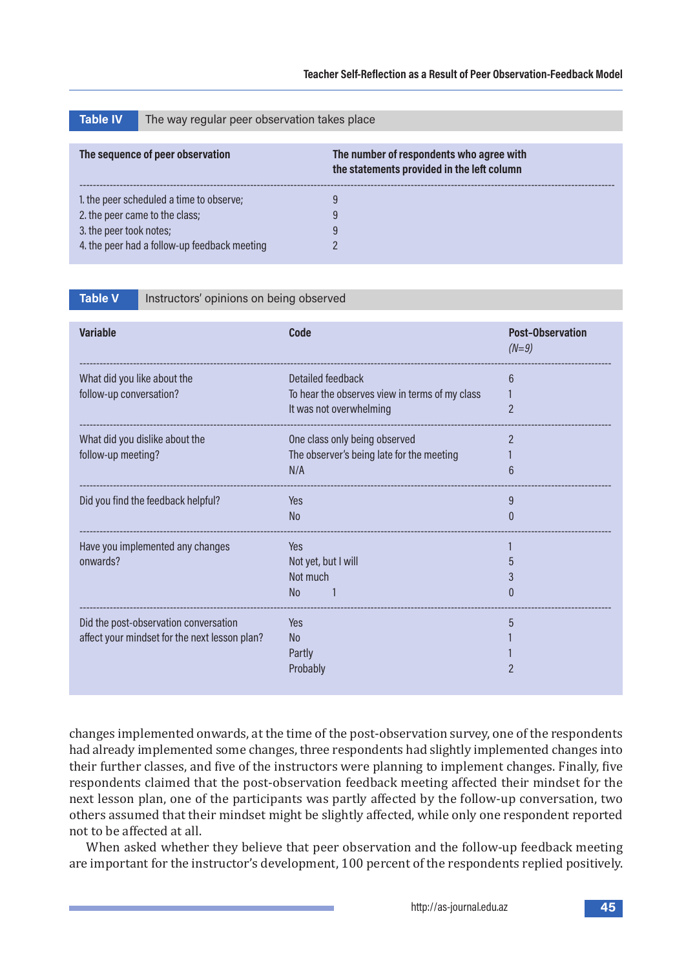| <b>Table IV</b>                     | The way regular peer observation takes place |                                                                                        |  |
|-------------------------------------|----------------------------------------------|----------------------------------------------------------------------------------------|--|
|                                     |                                              |                                                                                        |  |
|                                     | The sequence of peer observation             | The number of respondents who agree with<br>the statements provided in the left column |  |
|                                     | 1. the peer scheduled a time to observe;     | 9                                                                                      |  |
| 2. the peer came to the class;<br>9 |                                              |                                                                                        |  |
| 3. the peer took notes;             |                                              | 9                                                                                      |  |
|                                     | 4. the peer had a follow-up feedback meeting |                                                                                        |  |

**Table V** Instructors' opinions on being observed

| <b>Variable</b>                               | Code                                           | <b>Post-Observation</b><br>$(N=9)$ |
|-----------------------------------------------|------------------------------------------------|------------------------------------|
| What did you like about the                   | Detailed feedback                              | 6                                  |
| follow-up conversation?                       | To hear the observes view in terms of my class |                                    |
|                                               | It was not overwhelming                        | 2                                  |
| What did you dislike about the                | One class only being observed                  | $\overline{2}$                     |
| follow-up meeting?                            | The observer's being late for the meeting      |                                    |
|                                               | N/A                                            |                                    |
| Did you find the feedback helpful?            | Yes                                            | 9                                  |
|                                               | N <sub>o</sub>                                 | $\mathbf{0}$                       |
| Have you implemented any changes              | Yes                                            |                                    |
| onwards?                                      | Not yet, but I will                            |                                    |
|                                               | Not much                                       |                                    |
|                                               | N <sub>o</sub>                                 |                                    |
| Did the post-observation conversation         | <b>Yes</b>                                     |                                    |
| affect your mindset for the next lesson plan? | N <sub>o</sub>                                 |                                    |
|                                               | Partly                                         |                                    |
|                                               | Probably                                       |                                    |
|                                               |                                                |                                    |

changes implemented onwards, at the time of the post-observation survey, one of the respondents had already implemented some changes, three respondents had slightly implemented changes into their further classes, and five of the instructors were planning to implement changes. Finally, five respondents claimed that the post-observation feedback meeting affected their mindset for the next lesson plan, one of the participants was partly affected by the follow-up conversation, two others assumed that their mindset might be slightly affected, while only one respondent reported not to be affected at all.

When asked whether they believe that peer observation and the follow-up feedback meeting are important for the instructor's development, 100 percent of the respondents replied positively.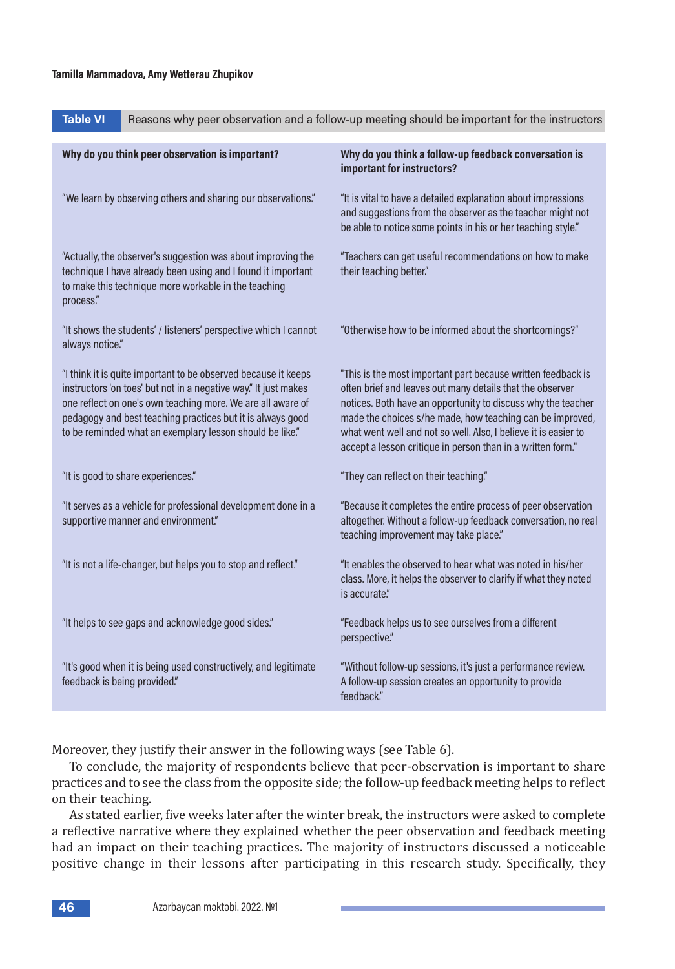**Table VI** Reasons why peer observation and a follow-up meeting should be important for the instructors

| Why do you think peer observation is important?                                                                                                                                                                                                                                                                            | Why do you think a follow-up feedback conversation is<br>important for instructors?                                                                                                                                                                                                                                                                                                      |
|----------------------------------------------------------------------------------------------------------------------------------------------------------------------------------------------------------------------------------------------------------------------------------------------------------------------------|------------------------------------------------------------------------------------------------------------------------------------------------------------------------------------------------------------------------------------------------------------------------------------------------------------------------------------------------------------------------------------------|
| "We learn by observing others and sharing our observations."                                                                                                                                                                                                                                                               | "It is vital to have a detailed explanation about impressions<br>and suggestions from the observer as the teacher might not<br>be able to notice some points in his or her teaching style."                                                                                                                                                                                              |
| "Actually, the observer's suggestion was about improving the<br>technique I have already been using and I found it important<br>to make this technique more workable in the teaching<br>process."                                                                                                                          | "Teachers can get useful recommendations on how to make<br>their teaching better."                                                                                                                                                                                                                                                                                                       |
| "It shows the students' / listeners' perspective which I cannot<br>always notice."                                                                                                                                                                                                                                         | "Otherwise how to be informed about the shortcomings?"                                                                                                                                                                                                                                                                                                                                   |
| "I think it is quite important to be observed because it keeps<br>instructors 'on toes' but not in a negative way." It just makes<br>one reflect on one's own teaching more. We are all aware of<br>pedagogy and best teaching practices but it is always good<br>to be reminded what an exemplary lesson should be like." | "This is the most important part because written feedback is<br>often brief and leaves out many details that the observer<br>notices. Both have an opportunity to discuss why the teacher<br>made the choices s/he made, how teaching can be improved,<br>what went well and not so well. Also, I believe it is easier to<br>accept a lesson critique in person than in a written form." |
| "It is good to share experiences."                                                                                                                                                                                                                                                                                         | "They can reflect on their teaching."                                                                                                                                                                                                                                                                                                                                                    |
| "It serves as a vehicle for professional development done in a<br>supportive manner and environment."                                                                                                                                                                                                                      | "Because it completes the entire process of peer observation<br>altogether. Without a follow-up feedback conversation, no real<br>teaching improvement may take place."                                                                                                                                                                                                                  |
| "It is not a life-changer, but helps you to stop and reflect."                                                                                                                                                                                                                                                             | "It enables the observed to hear what was noted in his/her<br>class. More, it helps the observer to clarify if what they noted<br>is accurate."                                                                                                                                                                                                                                          |
| "It helps to see gaps and acknowledge good sides."                                                                                                                                                                                                                                                                         | "Feedback helps us to see ourselves from a different<br>perspective."                                                                                                                                                                                                                                                                                                                    |
| "It's good when it is being used constructively, and legitimate<br>feedback is being provided."                                                                                                                                                                                                                            | "Without follow-up sessions, it's just a performance review.<br>A follow-up session creates an opportunity to provide<br>feedback."                                                                                                                                                                                                                                                      |

Moreover, they justify their answer in the following ways (see Table 6).

To conclude, the majority of respondents believe that peer-observation is important to share practices and to see the class from the opposite side; the follow-up feedback meeting helps to reflect on their teaching.

As stated earlier, five weeks later after the winter break, the instructors were asked to complete a reflective narrative where they explained whether the peer observation and feedback meeting had an impact on their teaching practices. The majority of instructors discussed a noticeable positive change in their lessons after participating in this research study. Specifically, they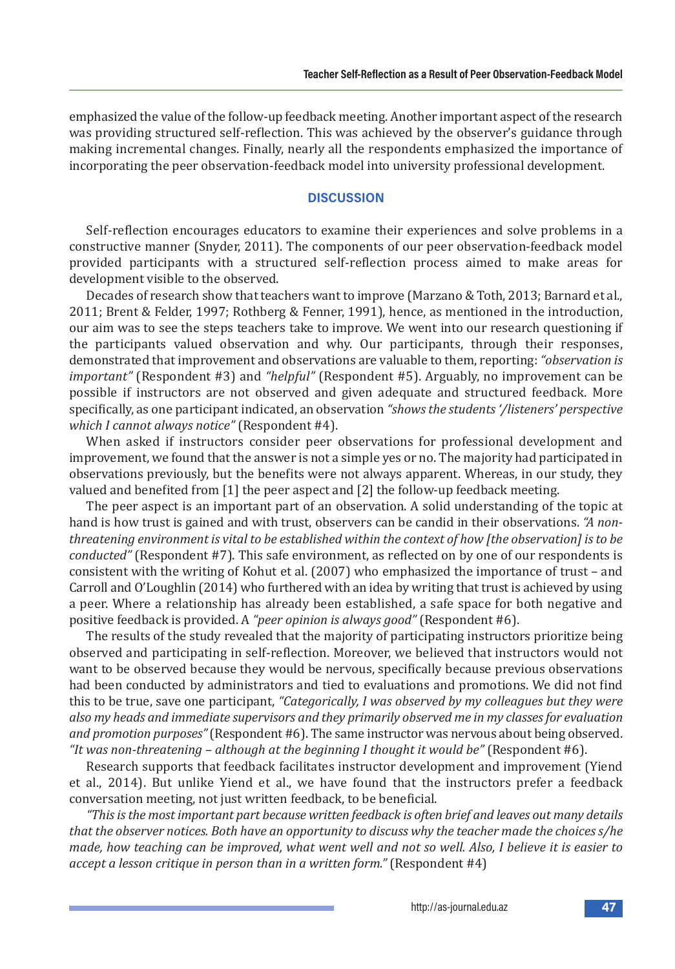emphasized the value of the follow-up feedback meeting. Another important aspect of the research was providing structured self-reflection. This was achieved by the observer's guidance through making incremental changes. Finally, nearly all the respondents emphasized the importance of incorporating the peer observation-feedback model into university professional development.

# **DISCUSSION**

Self-reflection encourages educators to examine their experiences and solve problems in a constructive manner (Snyder, 2011). The components of our peer observation-feedback model provided participants with a structured self-reflection process aimed to make areas for development visible to the observed.

Decades of research show that teachers want to improve (Marzano & Toth, 2013; Barnard et al., 2011; Brent & Felder, 1997; Rothberg & Fenner, 1991), hence, as mentioned in the introduction, our aim was to see the steps teachers take to improve. We went into our research questioning if the participants valued observation and why. Our participants, through their responses, demonstrated that improvement and observations are valuable to them, reporting: *"observation is important"* (Respondent #3) and *"helpful"* (Respondent #5). Arguably, no improvement can be possible if instructors are not observed and given adequate and structured feedback. More specifically, as one participant indicated, an observation *"shows the students '/listeners' perspective which I cannot always notice"* (Respondent #4).

When asked if instructors consider peer observations for professional development and improvement, we found that the answer is not a simple yes or no. The majority had participated in observations previously, but the benefits were not always apparent. Whereas, in our study, they valued and benefited from [1] the peer aspect and [2] the follow-up feedback meeting.

The peer aspect is an important part of an observation. A solid understanding of the topic at hand is how trust is gained and with trust, observers can be candid in their observations. *"A nonthreatening environment is vital to be established within the context of how [the observation] is to be conducted"* (Respondent #7). This safe environment, as reflected on by one of our respondents is consistent with the writing of Kohut et al. (2007) who emphasized the importance of trust – and Carroll and O'Loughlin (2014) who furthered with an idea by writing that trust is achieved by using a peer. Where a relationship has already been established, a safe space for both negative and positive feedback is provided. A *"peer opinion is always good"* (Respondent #6).

The results of the study revealed that the majority of participating instructors prioritize being observed and participating in self-reflection. Moreover, we believed that instructors would not want to be observed because they would be nervous, specifically because previous observations had been conducted by administrators and tied to evaluations and promotions. We did not find this to be true, save one participant, *"Categorically, I was observed by my colleagues but they were also my heads and immediate supervisors and they primarily observed me in my classes for evaluation and promotion purposes"* (Respondent #6). The same instructor was nervous about being observed. *"It was non-threatening – although at the beginning I thought it would be"* (Respondent #6).

Research supports that feedback facilitates instructor development and improvement (Yiend et al., 2014). But unlike Yiend et al., we have found that the instructors prefer a feedback conversation meeting, not just written feedback, to be beneficial.

*"This is the most important part because written feedback is often brief and leaves out many details that the observer notices. Both have an opportunity to discuss why the teacher made the choices s/he made, how teaching can be improved, what went well and not so well. Also, I believe it is easier to accept a lesson critique in person than in a written form."* (Respondent #4)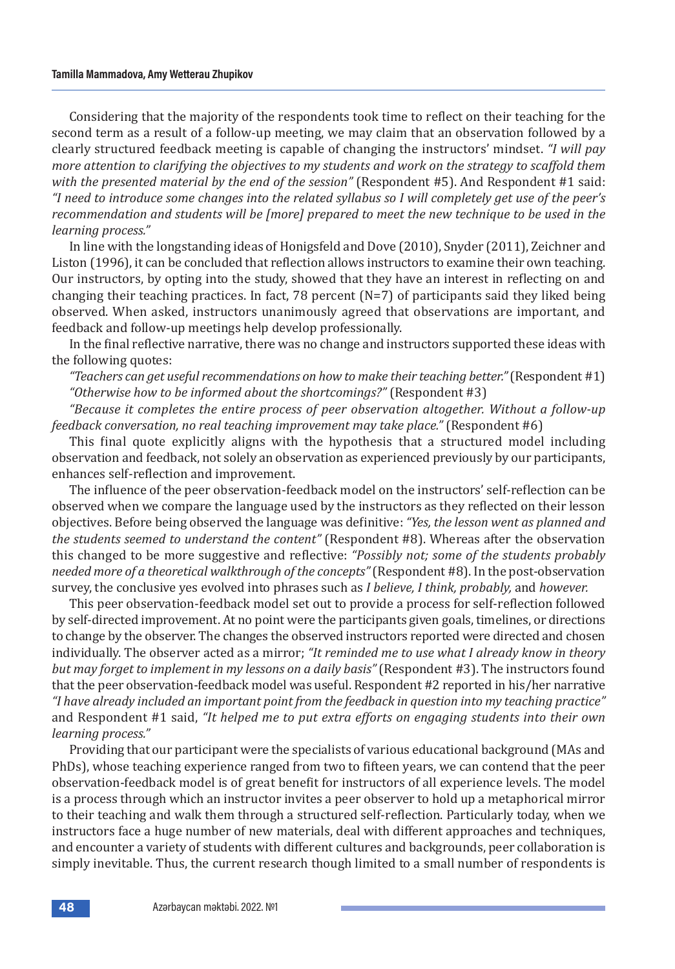Considering that the majority of the respondents took time to reflect on their teaching for the second term as a result of a follow-up meeting, we may claim that an observation followed by a clearly structured feedback meeting is capable of changing the instructors' mindset. *"I will pay more attention to clarifying the objectives to my students and work on the strategy to scaffold them with the presented material by the end of the session"* (Respondent #5). And Respondent #1 said: *"I need to introduce some changes into the related syllabus so I will completely get use of the peer's recommendation and students will be [more] prepared to meet the new technique to be used in the learning process."*

In line with the longstanding ideas of Honigsfeld and Dove (2010), Snyder (2011), Zeichner and Liston (1996), it can be concluded that reflection allows instructors to examine their own teaching. Our instructors, by opting into the study, showed that they have an interest in reflecting on and changing their teaching practices. In fact, 78 percent (N=7) of participants said they liked being observed. When asked, instructors unanimously agreed that observations are important, and feedback and follow-up meetings help develop professionally.

In the final reflective narrative, there was no change and instructors supported these ideas with the following quotes:

*"Teachers can get useful recommendations on how to make their teaching better."* (Respondent #1) *"Otherwise how to be informed about the shortcomings?"* (Respondent #3)

*"Because it completes the entire process of peer observation altogether. Without a follow-up feedback conversation, no real teaching improvement may take place."* (Respondent #6)

This final quote explicitly aligns with the hypothesis that a structured model including observation and feedback, not solely an observation as experienced previously by our participants, enhances self-reflection and improvement.

The influence of the peer observation-feedback model on the instructors' self-reflection can be observed when we compare the language used by the instructors as they reflected on their lesson objectives. Before being observed the language was definitive: *"Yes, the lesson went as planned and the students seemed to understand the content"* (Respondent #8). Whereas after the observation this changed to be more suggestive and reflective: *"Possibly not; some of the students probably needed more of a theoretical walkthrough of the concepts"* (Respondent #8). In the post-observation survey, the conclusive yes evolved into phrases such as *I believe, I think, probably,* and *however.* 

This peer observation-feedback model set out to provide a process for self-reflection followed by self-directed improvement. At no point were the participants given goals, timelines, or directions to change by the observer. The changes the observed instructors reported were directed and chosen individually. The observer acted as a mirror; *"It reminded me to use what I already know in theory but may forget to implement in my lessons on a daily basis"* (Respondent #3). The instructors found that the peer observation-feedback model was useful. Respondent #2 reported in his/her narrative *"I have already included an important point from the feedback in question into my teaching practice"* and Respondent #1 said, *"It helped me to put extra efforts on engaging students into their own learning process."* 

Providing that our participant were the specialists of various educational background (MAs and PhDs), whose teaching experience ranged from two to fifteen years, we can contend that the peer observation-feedback model is of great benefit for instructors of all experience levels. The model is a process through which an instructor invites a peer observer to hold up a metaphorical mirror to their teaching and walk them through a structured self-reflection. Particularly today, when we instructors face a huge number of new materials, deal with different approaches and techniques, and encounter a variety of students with different cultures and backgrounds, peer collaboration is simply inevitable. Thus, the current research though limited to a small number of respondents is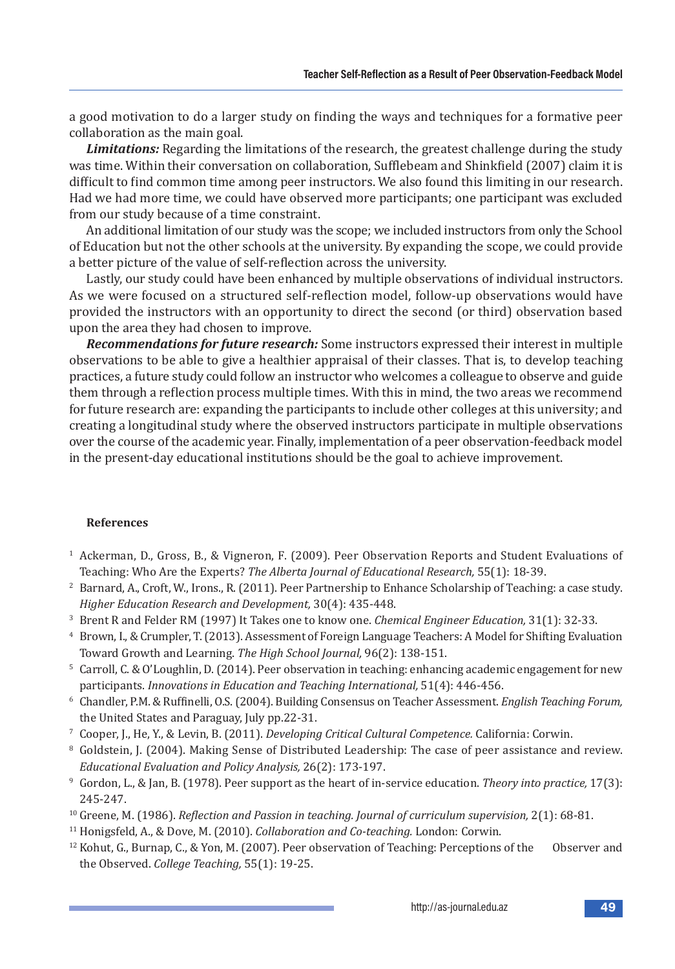a good motivation to do a larger study on finding the ways and techniques for a formative peer collaboration as the main goal.

*Limitations:* Regarding the limitations of the research, the greatest challenge during the study was time. Within their conversation on collaboration, Sufflebeam and Shinkfield (2007) claim it is difficult to find common time among peer instructors. We also found this limiting in our research. Had we had more time, we could have observed more participants; one participant was excluded from our study because of a time constraint.

An additional limitation of our study was the scope; we included instructors from only the School of Education but not the other schools at the university. By expanding the scope, we could provide a better picture of the value of self-reflection across the university.

Lastly, our study could have been enhanced by multiple observations of individual instructors. As we were focused on a structured self-reflection model, follow-up observations would have provided the instructors with an opportunity to direct the second (or third) observation based upon the area they had chosen to improve.

*Recommendations for future research:* Some instructors expressed their interest in multiple observations to be able to give a healthier appraisal of their classes. That is, to develop teaching practices, a future study could follow an instructor who welcomes a colleague to observe and guide them through a reflection process multiple times. With this in mind, the two areas we recommend for future research are: expanding the participants to include other colleges at this university; and creating a longitudinal study where the observed instructors participate in multiple observations over the course of the academic year. Finally, implementation of a peer observation-feedback model in the present-day educational institutions should be the goal to achieve improvement.

# **References**

- <sup>1</sup> Ackerman, D., Gross, B., & Vigneron, F. (2009). Peer Observation Reports and Student Evaluations of Teaching: Who Are the Experts? *The Alberta Journal of Educational Research,* 55(1): 18-39.
- <sup>2</sup> Barnard, A., Croft, W., Irons., R. (2011). Peer Partnership to Enhance Scholarship of Teaching: a case study. *Higher Education Research and Development,* 30(4): 435-448.
- <sup>3</sup> Brent R and Felder RM (1997) It Takes one to know one. *Chemical Engineer Education,* 31(1): 32-33.
- <sup>4</sup> Brown, I., & Crumpler, T. (2013). Assessment of Foreign Language Teachers: A Model for Shifting Evaluation Toward Growth and Learning. *The High School Journal,* 96(2): 138-151.
- <sup>5</sup> Carroll, C. & O'Loughlin, D. (2014). Peer observation in teaching: enhancing academic engagement for new participants. *Innovations in Education and Teaching International,* 51(4): 446-456.
- <sup>6</sup> Chandler, P.M. & Ruffinelli, O.S. (2004). Building Consensus on Teacher Assessment. *English Teaching Forum,* the United States and Paraguay, July pp.22-31.
- <sup>7</sup> Cooper, J., He, Y., & Levin, B. (2011). *Developing Critical Cultural Competence.* California: Corwin.
- <sup>8</sup> Goldstein, J. (2004). Making Sense of Distributed Leadership: The case of peer assistance and review. *Educational Evaluation and Policy Analysis,* 26(2): 173-197.
- <sup>9</sup> Gordon, L., & Jan, B. (1978). Peer support as the heart of in-service education. *Theory into practice,* 17(3): 245-247.
- <sup>10</sup> Greene, M. (1986). *Reflection and Passion in teaching. Journal of curriculum supervision, 2(1): 68-81.*
- <sup>11</sup> Honigsfeld, A., & Dove, M. (2010). *Collaboration and Co-teaching.* London: Corwin.
- <sup>12</sup> Kohut, G., Burnap, C., & Yon, M. (2007). Peer observation of Teaching: Perceptions of the Observer and the Observed. *College Teaching,* 55(1): 19-25.